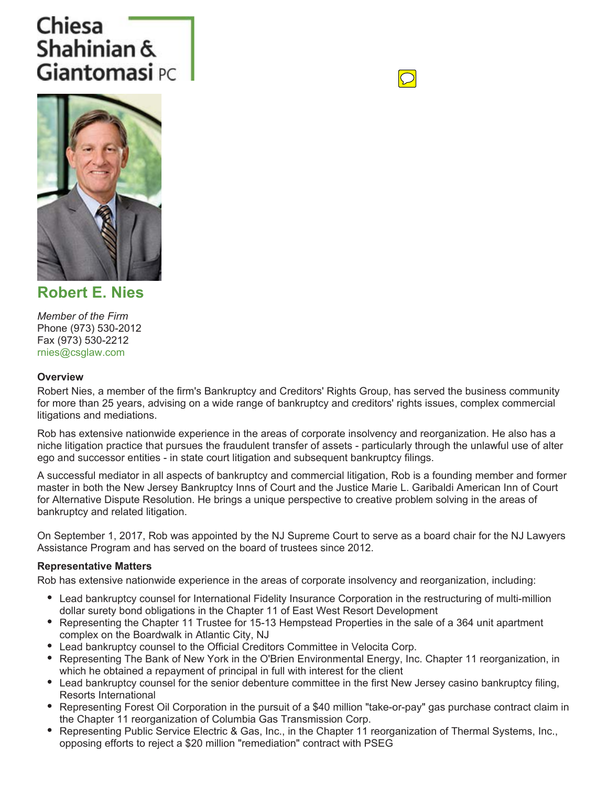# Chiesa Shahinian & Giantomasi PC





**Robert E. Nies**

*Member of the Firm* Phone (973) 530-2012 Fax (973) 530-2212 rnies@csglaw.com

### **Overview**

Robert Nies, a member of the firm's Bankruptcy and Creditors' Rights Group, has served the business community for more than 25 years, advising on a wide range of bankruptcy and creditors' rights issues, complex commercial litigations and mediations.

Rob has extensive nationwide experience in the areas of corporate insolvency and reorganization. He also has a niche litigation practice that pursues the fraudulent transfer of assets - particularly through the unlawful use of alter ego and successor entities - in state court litigation and subsequent bankruptcy filings.

A successful mediator in all aspects of bankruptcy and commercial litigation, Rob is a founding member and former master in both the New Jersey Bankruptcy Inns of Court and the Justice Marie L. Garibaldi American Inn of Court for Alternative Dispute Resolution. He brings a unique perspective to creative problem solving in the areas of bankruptcy and related litigation.

On September 1, 2017, Rob was appointed by the NJ Supreme Court to serve as a board chair for the NJ Lawyers Assistance Program and has served on the board of trustees since 2012.

#### **Representative Matters**

Rob has extensive nationwide experience in the areas of corporate insolvency and reorganization, including:

- Lead bankruptcy counsel for International Fidelity Insurance Corporation in the restructuring of multi-million dollar surety bond obligations in the Chapter 11 of East West Resort Development
- Representing the Chapter 11 Trustee for 15-13 Hempstead Properties in the sale of a 364 unit apartment complex on the Boardwalk in Atlantic City, NJ
- Lead bankruptcy counsel to the Official Creditors Committee in Velocita Corp.
- Representing The Bank of New York in the O'Brien Environmental Energy, Inc. Chapter 11 reorganization, in which he obtained a repayment of principal in full with interest for the client
- Lead bankruptcy counsel for the senior debenture committee in the first New Jersey casino bankruptcy filing, Resorts International
- Representing Forest Oil Corporation in the pursuit of a \$40 million "take-or-pay" gas purchase contract claim in the Chapter 11 reorganization of Columbia Gas Transmission Corp.
- Representing Public Service Electric & Gas, Inc., in the Chapter 11 reorganization of Thermal Systems, Inc., opposing efforts to reject a \$20 million "remediation" contract with PSEG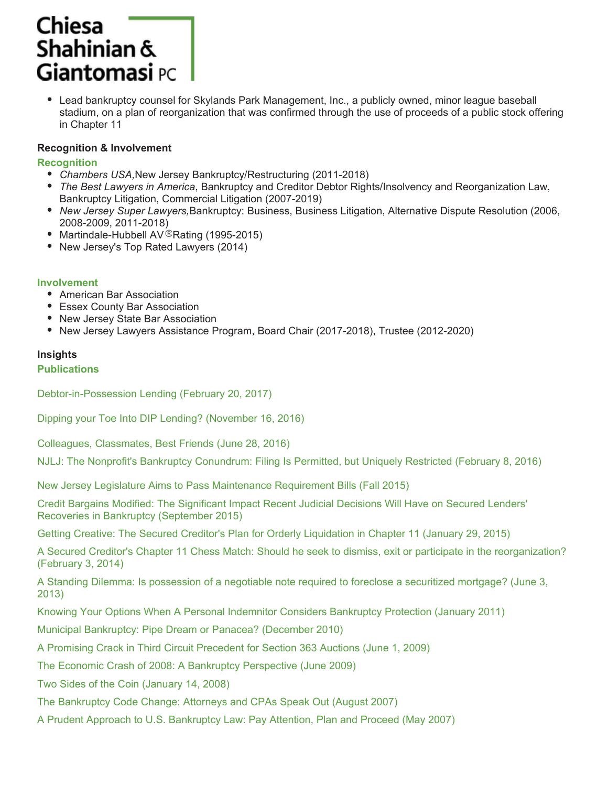## **Chiesa** Shahinian &  $\mathsf{Gian}$ tomasi  $\mathsf{PC}$

• Lead bankruptcy counsel for Skylands Park Management, Inc., a publicly owned, minor league baseball stadium, on a plan of reorganization that was confirmed through the use of proceeds of a public stock offering in Chapter 11

### **Recognition & Involvement**

### **Recognition**

- *Chambers USA,*New Jersey Bankruptcy/Restructuring (2011-2018)
- *The Best Lawyers in America*, Bankruptcy and Creditor Debtor Rights/Insolvency and Reorganization Law, Bankruptcy Litigation, Commercial Litigation (2007-2019)
- *New Jersey Super Lawyers,*Bankruptcy: Business, Business Litigation, Alternative Dispute Resolution (2006, 2008-2009, 2011-2018)
- Martindale-Hubbell AV<sup>®</sup>Rating (1995-2015)
- New Jersey's Top Rated Lawyers (2014)

#### **Involvement**

- American Bar Association
- Essex County Bar Association
- New Jersey State Bar Association
- New Jersey Lawyers Assistance Program, Board Chair (2017-2018), Trustee (2012-2020)

### **Insights**

### **Publications**

Debtor-in-Possession Lending (February 20, 2017)

Dipping your Toe Into DIP Lending? (November 16, 2016)

Colleagues, Classmates, Best Friends (June 28, 2016)

NJLJ: The Nonprofit's Bankruptcy Conundrum: Filing Is Permitted, but Uniquely Restricted (February 8, 2016)

New Jersey Legislature Aims to Pass Maintenance Requirement Bills (Fall 2015)

Credit Bargains Modified: The Significant Impact Recent Judicial Decisions Will Have on Secured Lenders' Recoveries in Bankruptcy (September 2015)

Getting Creative: The Secured Creditor's Plan for Orderly Liquidation in Chapter 11 (January 29, 2015)

A Secured Creditor's Chapter 11 Chess Match: Should he seek to dismiss, exit or participate in the reorganization? (February 3, 2014)

A Standing Dilemma: Is possession of a negotiable note required to foreclose a securitized mortgage? (June 3, 2013)

Knowing Your Options When A Personal Indemnitor Considers Bankruptcy Protection (January 2011)

Municipal Bankruptcy: Pipe Dream or Panacea? (December 2010)

A Promising Crack in Third Circuit Precedent for Section 363 Auctions (June 1, 2009)

The Economic Crash of 2008: A Bankruptcy Perspective (June 2009)

Two Sides of the Coin (January 14, 2008)

The Bankruptcy Code Change: Attorneys and CPAs Speak Out (August 2007)

A Prudent Approach to U.S. Bankruptcy Law: Pay Attention, Plan and Proceed (May 2007)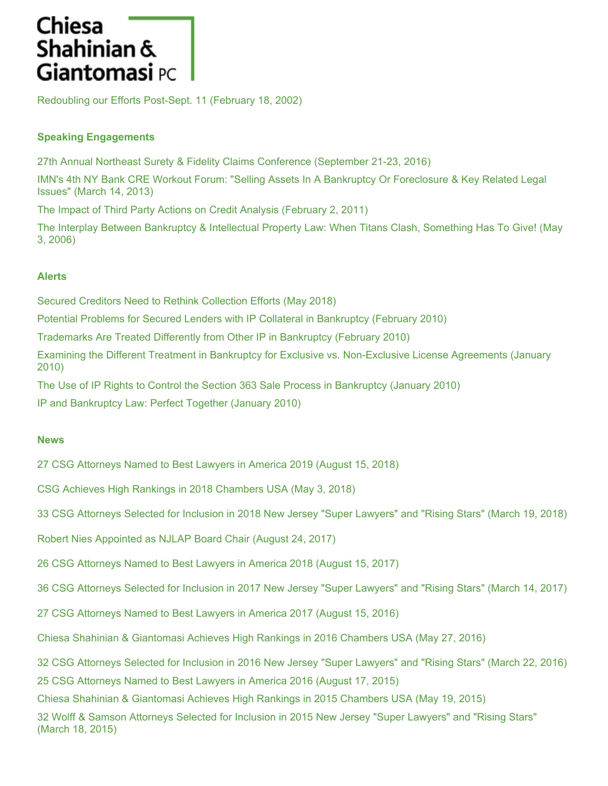## **Chiesa** Shahinian & **Giantomasi** PC

Redoubling our Efforts Post-Sept. 11 (February 18, 2002)

### **Speaking Engagements**

27th Annual Northeast Surety & Fidelity Claims Conference (September 21-23, 2016)

IMN's 4th NY Bank CRE Workout Forum: "Selling Assets In A Bankruptcy Or Foreclosure & Key Related Legal Issues" (March 14, 2013)

The Impact of Third Party Actions on Credit Analysis (February 2, 2011)

The Interplay Between Bankruptcy & Intellectual Property Law: When Titans Clash, Something Has To Give! (May 3, 2006)

### **Alerts**

Secured Creditors Need to Rethink Collection Efforts (May 2018)

Potential Problems for Secured Lenders with IP Collateral in Bankruptcy (February 2010)

Trademarks Are Treated Differently from Other IP in Bankruptcy (February 2010)

Examining the Different Treatment in Bankruptcy for Exclusive vs. Non-Exclusive License Agreements (January 2010)

The Use of IP Rights to Control the Section 363 Sale Process in Bankruptcy (January 2010)

IP and Bankruptcy Law: Perfect Together (January 2010)

#### **News**

27 CSG Attorneys Named to Best Lawyers in America 2019 (August 15, 2018)

CSG Achieves High Rankings in 2018 Chambers USA (May 3, 2018)

33 CSG Attorneys Selected for Inclusion in 2018 New Jersey "Super Lawyers" and "Rising Stars" (March 19, 2018)

Robert Nies Appointed as NJLAP Board Chair (August 24, 2017)

26 CSG Attorneys Named to Best Lawyers in America 2018 (August 15, 2017)

36 CSG Attorneys Selected for Inclusion in 2017 New Jersey "Super Lawyers" and "Rising Stars" (March 14, 2017)

27 CSG Attorneys Named to Best Lawyers in America 2017 (August 15, 2016)

Chiesa Shahinian & Giantomasi Achieves High Rankings in 2016 Chambers USA (May 27, 2016)

32 CSG Attorneys Selected for Inclusion in 2016 New Jersey "Super Lawyers" and "Rising Stars" (March 22, 2016)

25 CSG Attorneys Named to Best Lawyers in America 2016 (August 17, 2015)

Chiesa Shahinian & Giantomasi Achieves High Rankings in 2015 Chambers USA (May 19, 2015)

32 Wolff & Samson Attorneys Selected for Inclusion in 2015 New Jersey "Super Lawyers" and "Rising Stars" (March 18, 2015)